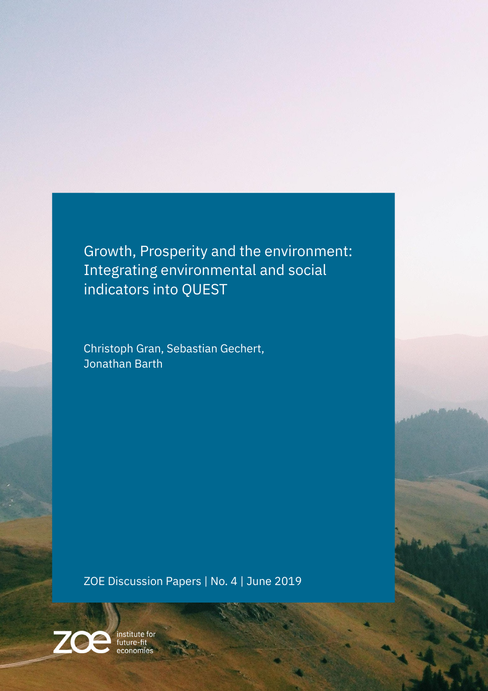<span id="page-0-0"></span>Growth, Prosperity and the environment: Integrating environmental and social indicators into QUEST

Christoph Gran, Sebastian Gechert, Jonathan Barth

ZOE Discussion Papers | No. 4 | June 2019



institute for<br>future-fit<br>economies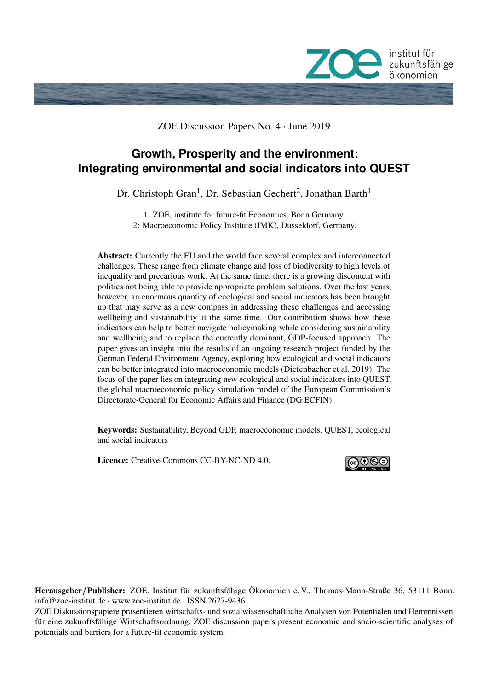

ZOE Discussion Papers No. 4 · June 2019

# **Growth, Prosperity and the environment: Integrating environmental and social indicators into QUEST**

Dr. Christoph Gran<sup>1</sup>, Dr. Sebastian Gechert<sup>2</sup>, Jonathan Barth<sup>1</sup>

1: ZOE, institute for future-fit Economies, Bonn Germany. 2: Macroeconomic Policy Institute (IMK), Düsseldorf, Germany.

Abstract: Currently the EU and the world face several complex and interconnected challenges. These range from climate change and loss of biodiversity to high levels of inequality and precarious work. At the same time, there is a growing discontent with politics not being able to provide appropriate problem solutions. Over the last years, however, an enormous quantity of ecological and social indicators has been brought up that may serve as a new compass in addressing these challenges and accessing wellbeing and sustainability at the same time. Our contribution shows how these indicators can help to better navigate policymaking while considering sustainability and wellbeing and to replace the currently dominant, GDP-focused approach. The paper gives an insight into the results of an ongoing research project funded by the German Federal Environment Agency, exploring how ecological and social indicators can be better integrated into macroeconomic models (Diefenbacher et al. 2019). The focus of the paper lies on integrating new ecological and social indicators into QUEST, the global macroeconomic policy simulation model of the European Commission's Directorate-General for Economic Affairs and Finance (DG ECFIN).

Keywords: Sustainability, Beyond GDP, macroeconomic models, QUEST, ecological and social indicators

Licence: Creative-Commons [CC-BY-NC-ND 4.0.](http://creativecommons.org/licenses/by-nc-nd/4.0/)



Herausgeber / Publisher: ZOE. Institut für zukunftsfähige Ökonomien e. V., Thomas-Mann-Straße 36, 53111 Bonn. info@zoe-institut.de · www.zoe-institut.de · ISSN 2627-9436.

ZOE Diskussionspapiere präsentieren wirtschafts- und sozialwissenschaftliche Analysen von Potentialen und Hemmnissen für eine zukunftsfähige Wirtschaftsordnung. ZOE discussion papers present economic and socio-scientific analyses of potentials and barriers for a future-fit economic system.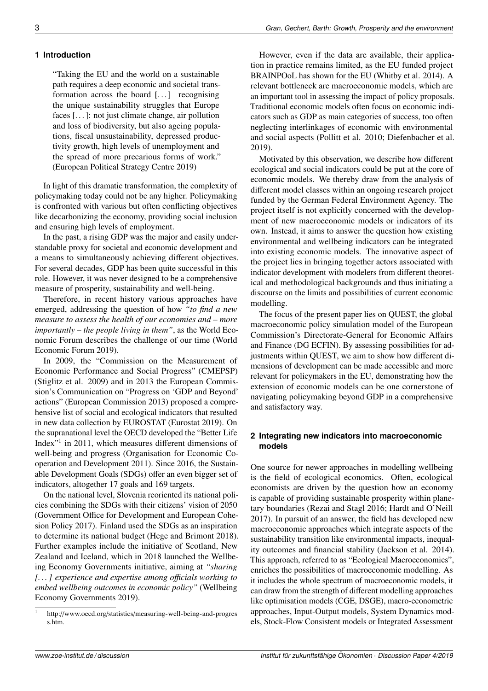"Taking the EU and the world on a sustainable path requires a deep economic and societal transformation across the board [...] recognising the unique sustainability struggles that Europe faces [. . . ]: not just climate change, air pollution and loss of biodiversity, but also ageing populations, fiscal unsustainability, depressed productivity growth, high levels of unemployment and the spread of more precarious forms of work." (European Political Strategy Centre 2019)

In light of this dramatic transformation, the complexity of policymaking today could not be any higher. Policymaking is confronted with various but often conflicting objectives like decarbonizing the economy, providing social inclusion and ensuring high levels of employment.

In the past, a rising GDP was the major and easily understandable proxy for societal and economic development and a means to simultaneously achieving different objectives. For several decades, GDP has been quite successful in this role. However, it was never designed to be a comprehensive measure of prosperity, sustainability and well-being.

Therefore, in recent history various approaches have emerged, addressing the question of how *"to find a new measure to assess the health of our economies and – more importantly – the people living in them"*, as the World Economic Forum describes the challenge of our time (World Economic Forum 2019).

In 2009, the "Commission on the Measurement of Economic Performance and Social Progress" (CMEPSP) (Stiglitz et al. 2009) and in 2013 the European Commission's Communication on "Progress on 'GDP and Beyond' actions" (European Commission 2013) proposed a comprehensive list of social and ecological indicators that resulted in new data collection by EUROSTAT (Eurostat 2019). On the supranational level the OECD developed the "Better Life Index<sup>"[1](#page-0-0)</sup> in 2011, which measures different dimensions of well-being and progress (Organisation for Economic Cooperation and Development 2011). Since 2016, the Sustainable Development Goals (SDGs) offer an even bigger set of indicators, altogether 17 goals and 169 targets.

On the national level, Slovenia reoriented its national policies combining the SDGs with their citizens' vision of 2050 (Government Office for Development and European Cohesion Policy 2017). Finland used the SDGs as an inspiration to determine its national budget (Hege and Brimont 2018). Further examples include the initiative of Scotland, New Zealand and Iceland, which in 2018 launched the Wellbeing Economy Governments initiative, aiming at *"sharing [. . . ] experience and expertise among o*ffi*cials working to embed wellbeing outcomes in economic policy"* (Wellbeing Economy Governments 2019).

However, even if the data are available, their application in practice remains limited, as the EU funded project BRAINPOoL has shown for the EU (Whitby et al. 2014). A relevant bottleneck are macroeconomic models, which are an important tool in assessing the impact of policy proposals. Traditional economic models often focus on economic indicators such as GDP as main categories of success, too often neglecting interlinkages of economic with environmental and social aspects (Pollitt et al. 2010; Diefenbacher et al. 2019).

Motivated by this observation, we describe how different ecological and social indicators could be put at the core of economic models. We thereby draw from the analysis of different model classes within an ongoing research project funded by the German Federal Environment Agency. The project itself is not explicitly concerned with the development of new macroeconomic models or indicators of its own. Instead, it aims to answer the question how existing environmental and wellbeing indicators can be integrated into existing economic models. The innovative aspect of the project lies in bringing together actors associated with indicator development with modelers from different theoretical and methodological backgrounds and thus initiating a discourse on the limits and possibilities of current economic modelling.

The focus of the present paper lies on QUEST, the global macroeconomic policy simulation model of the European Commission's Directorate-General for Economic Affairs and Finance (DG ECFIN). By assessing possibilities for adjustments within QUEST, we aim to show how different dimensions of development can be made accessible and more relevant for policymakers in the EU, demonstrating how the extension of economic models can be one cornerstone of navigating policymaking beyond GDP in a comprehensive and satisfactory way.

# **2 Integrating new indicators into macroeconomic models**

One source for newer approaches in modelling wellbeing is the field of ecological economics. Often, ecological economists are driven by the question how an economy is capable of providing sustainable prosperity within planetary boundaries (Rezai and Stagl 2016; Hardt and O'Neill 2017). In pursuit of an answer, the field has developed new macroeconomic approaches which integrate aspects of the sustainability transition like environmental impacts, inequality outcomes and financial stability (Jackson et al. 2014). This approach, referred to as "Ecological Macroeconomics", enriches the possibilities of macroeconomic modelling. As it includes the whole spectrum of macroeconomic models, it can draw from the strength of different modelling approaches like optimisation models (CGE, DSGE), macro-econometric approaches, Input-Output models, System Dynamics models, Stock-Flow Consistent models or Integrated Assessment

<sup>1</sup> http://www.oecd.org/statistics/[measuring-well-being-and-progres](http://www.oecd.org/statistics/measuring-well-being-and-progress.htm) [s.htm.](http://www.oecd.org/statistics/measuring-well-being-and-progress.htm)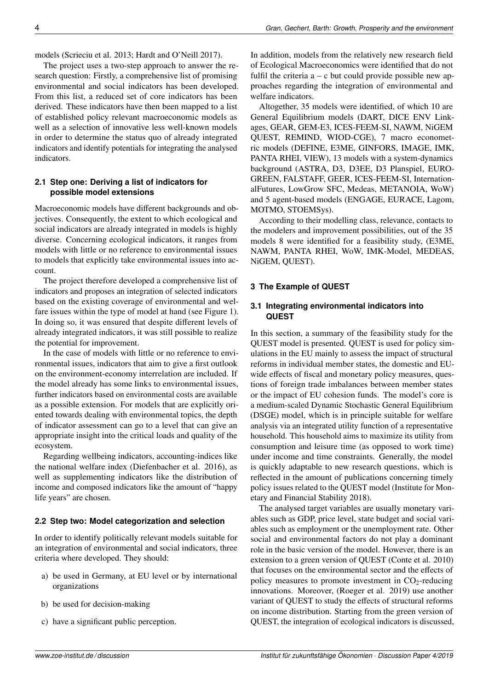models (Scrieciu et al. 2013; Hardt and O'Neill 2017).

The project uses a two-step approach to answer the research question: Firstly, a comprehensive list of promising environmental and social indicators has been developed. From this list, a reduced set of core indicators has been derived. These indicators have then been mapped to a list of established policy relevant macroeconomic models as well as a selection of innovative less well-known models in order to determine the status quo of already integrated indicators and identify potentials for integrating the analysed indicators.

## **2.1 Step one: Deriving a list of indicators for possible model extensions**

Macroeconomic models have different backgrounds and objectives. Consequently, the extent to which ecological and social indicators are already integrated in models is highly diverse. Concerning ecological indicators, it ranges from models with little or no reference to environmental issues to models that explicitly take environmental issues into account.

The project therefore developed a comprehensive list of indicators and proposes an integration of selected indicators based on the existing coverage of environmental and welfare issues within the type of model at hand (see Figure [1\)](#page-4-0). In doing so, it was ensured that despite different levels of already integrated indicators, it was still possible to realize the potential for improvement.

In the case of models with little or no reference to environmental issues, indicators that aim to give a first outlook on the environment-economy interrelation are included. If the model already has some links to environmental issues, further indicators based on environmental costs are available as a possible extension. For models that are explicitly oriented towards dealing with environmental topics, the depth of indicator assessment can go to a level that can give an appropriate insight into the critical loads and quality of the ecosystem.

Regarding wellbeing indicators, accounting-indices like the national welfare index (Diefenbacher et al. 2016), as well as supplementing indicators like the distribution of income and composed indicators like the amount of "happy life years" are chosen.

#### **2.2 Step two: Model categorization and selection**

In order to identify politically relevant models suitable for an integration of environmental and social indicators, three criteria where developed. They should:

- a) be used in Germany, at EU level or by international organizations
- b) be used for decision-making
- c) have a significant public perception.

In addition, models from the relatively new research field of Ecological Macroeconomics were identified that do not fulfil the criteria  $a - c$  but could provide possible new approaches regarding the integration of environmental and welfare indicators.

Altogether, 35 models were identified, of which 10 are General Equilibrium models (DART, DICE ENV Linkages, GEAR, GEM-E3, ICES-FEEM-SI, NAWM, NiGEM QUEST, REMIND, WIOD-CGE), 7 macro econometric models (DEFINE, E3ME, GINFORS, IMAGE, IMK, PANTA RHEI, VIEW), 13 models with a system-dynamics background (ASTRA, D3, D3EE, D3 Planspiel, EURO-GREEN, FALSTAFF, GEER, ICES-FEEM-SI, InternationalFutures, LowGrow SFC, Medeas, METANOIA, WoW) and 5 agent-based models (ENGAGE, EURACE, Lagom, MOTMO, STOEMSys).

According to their modelling class, relevance, contacts to the modelers and improvement possibilities, out of the 35 models 8 were identified for a feasibility study, (E3ME, NAWM, PANTA RHEI, WoW, IMK-Model, MEDEAS, NiGEM, QUEST).

## **3 The Example of QUEST**

#### **3.1 Integrating environmental indicators into QUEST**

In this section, a summary of the feasibility study for the QUEST model is presented. QUEST is used for policy simulations in the EU mainly to assess the impact of structural reforms in individual member states, the domestic and EUwide effects of fiscal and monetary policy measures, questions of foreign trade imbalances between member states or the impact of EU cohesion funds. The model's core is a medium-scaled Dynamic Stochastic General Equilibrium (DSGE) model, which is in principle suitable for welfare analysis via an integrated utility function of a representative household. This household aims to maximize its utility from consumption and leisure time (as opposed to work time) under income and time constraints. Generally, the model is quickly adaptable to new research questions, which is reflected in the amount of publications concerning timely policy issues related to the QUEST model (Institute for Monetary and Financial Stability 2018).

The analysed target variables are usually monetary variables such as GDP, price level, state budget and social variables such as employment or the unemployment rate. Other social and environmental factors do not play a dominant role in the basic version of the model. However, there is an extension to a green version of QUEST (Conte et al. 2010) that focuses on the environmental sector and the effects of policy measures to promote investment in  $CO_2$ -reducing innovations. Moreover, (Roeger et al. 2019) use another variant of QUEST to study the effects of structural reforms on income distribution. Starting from the green version of QUEST, the integration of ecological indicators is discussed,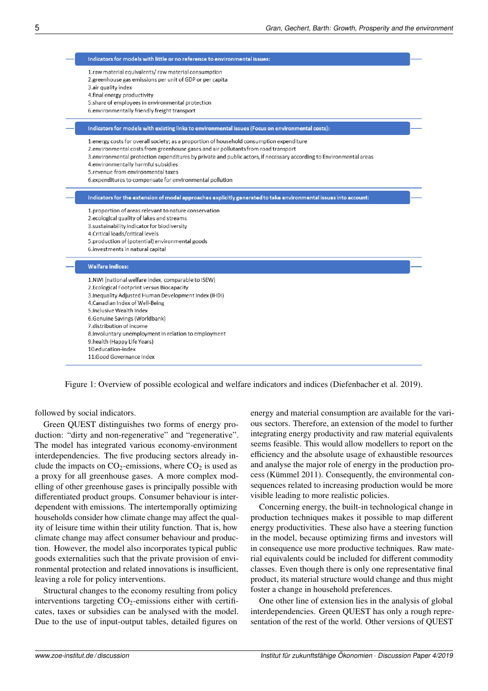

<span id="page-4-0"></span>Figure 1: Overview of possible ecological and welfare indicators and indices (Diefenbacher et al. 2019).

followed by social indicators.

Green QUEST distinguishes two forms of energy production: "dirty and non-regenerative" and "regenerative". The model has integrated various economy-environment interdependencies. The five producing sectors already include the impacts on  $CO_2$ -emissions, where  $CO_2$  is used as a proxy for all greenhouse gases. A more complex modelling of other greenhouse gases is principally possible with differentiated product groups. Consumer behaviour is interdependent with emissions. The intertemporally optimizing households consider how climate change may affect the quality of leisure time within their utility function. That is, how climate change may affect consumer behaviour and production. However, the model also incorporates typical public goods externalities such that the private provision of environmental protection and related innovations is insufficient, leaving a role for policy interventions.

Structural changes to the economy resulting from policy interventions targeting  $CO<sub>2</sub>$ -emissions either with certificates, taxes or subsidies can be analysed with the model. Due to the use of input-output tables, detailed figures on

energy and material consumption are available for the various sectors. Therefore, an extension of the model to further integrating energy productivity and raw material equivalents seems feasible. This would allow modellers to report on the efficiency and the absolute usage of exhaustible resources and analyse the major role of energy in the production process (Kümmel 2011). Consequently, the environmental consequences related to increasing production would be more visible leading to more realistic policies.

Concerning energy, the built-in technological change in production techniques makes it possible to map different energy productivities. These also have a steering function in the model, because optimizing firms and investors will in consequence use more productive techniques. Raw material equivalents could be included for different commodity classes. Even though there is only one representative final product, its material structure would change and thus might foster a change in household preferences.

One other line of extension lies in the analysis of global interdependencies. Green QUEST has only a rough representation of the rest of the world. Other versions of QUEST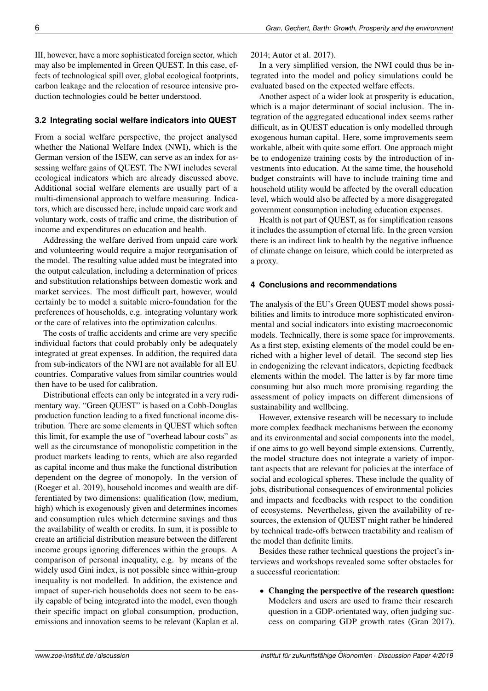III, however, have a more sophisticated foreign sector, which may also be implemented in Green QUEST. In this case, effects of technological spill over, global ecological footprints, carbon leakage and the relocation of resource intensive production technologies could be better understood.

# **3.2 Integrating social welfare indicators into QUEST**

From a social welfare perspective, the project analysed whether the National Welfare Index (NWI), which is the German version of the ISEW, can serve as an index for assessing welfare gains of QUEST. The NWI includes several ecological indicators which are already discussed above. Additional social welfare elements are usually part of a multi-dimensional approach to welfare measuring. Indicators, which are discussed here, include unpaid care work and voluntary work, costs of traffic and crime, the distribution of income and expenditures on education and health.

Addressing the welfare derived from unpaid care work and volunteering would require a major reorganisation of the model. The resulting value added must be integrated into the output calculation, including a determination of prices and substitution relationships between domestic work and market services. The most difficult part, however, would certainly be to model a suitable micro-foundation for the preferences of households, e.g. integrating voluntary work or the care of relatives into the optimization calculus.

The costs of traffic accidents and crime are very specific individual factors that could probably only be adequately integrated at great expenses. In addition, the required data from sub-indicators of the NWI are not available for all EU countries. Comparative values from similar countries would then have to be used for calibration.

Distributional effects can only be integrated in a very rudimentary way. "Green QUEST" is based on a Cobb-Douglas production function leading to a fixed functional income distribution. There are some elements in QUEST which soften this limit, for example the use of "overhead labour costs" as well as the circumstance of monopolistic competition in the product markets leading to rents, which are also regarded as capital income and thus make the functional distribution dependent on the degree of monopoly. In the version of (Roeger et al. 2019), household incomes and wealth are differentiated by two dimensions: qualification (low, medium, high) which is exogenously given and determines incomes and consumption rules which determine savings and thus the availability of wealth or credits. In sum, it is possible to create an artificial distribution measure between the different income groups ignoring differences within the groups. A comparison of personal inequality, e.g. by means of the widely used Gini index, is not possible since within-group inequality is not modelled. In addition, the existence and impact of super-rich households does not seem to be easily capable of being integrated into the model, even though their specific impact on global consumption, production, emissions and innovation seems to be relevant (Kaplan et al. 2014; Autor et al. 2017).

In a very simplified version, the NWI could thus be integrated into the model and policy simulations could be evaluated based on the expected welfare effects.

Another aspect of a wider look at prosperity is education, which is a major determinant of social inclusion. The integration of the aggregated educational index seems rather difficult, as in QUEST education is only modelled through exogenous human capital. Here, some improvements seem workable, albeit with quite some effort. One approach might be to endogenize training costs by the introduction of investments into education. At the same time, the household budget constraints will have to include training time and household utility would be affected by the overall education level, which would also be affected by a more disaggregated government consumption including education expenses.

Health is not part of QUEST, as for simplification reasons it includes the assumption of eternal life. In the green version there is an indirect link to health by the negative influence of climate change on leisure, which could be interpreted as a proxy.

# **4 Conclusions and recommendations**

The analysis of the EU's Green QUEST model shows possibilities and limits to introduce more sophisticated environmental and social indicators into existing macroeconomic models. Technically, there is some space for improvements. As a first step, existing elements of the model could be enriched with a higher level of detail. The second step lies in endogenizing the relevant indicators, depicting feedback elements within the model. The latter is by far more time consuming but also much more promising regarding the assessment of policy impacts on different dimensions of sustainability and wellbeing.

However, extensive research will be necessary to include more complex feedback mechanisms between the economy and its environmental and social components into the model, if one aims to go well beyond simple extensions. Currently, the model structure does not integrate a variety of important aspects that are relevant for policies at the interface of social and ecological spheres. These include the quality of jobs, distributional consequences of environmental policies and impacts and feedbacks with respect to the condition of ecosystems. Nevertheless, given the availability of resources, the extension of QUEST might rather be hindered by technical trade-offs between tractability and realism of the model than definite limits.

Besides these rather technical questions the project's interviews and workshops revealed some softer obstacles for a successful reorientation:

• Changing the perspective of the research question: Modelers and users are used to frame their research question in a GDP-orientated way, often judging success on comparing GDP growth rates (Gran 2017).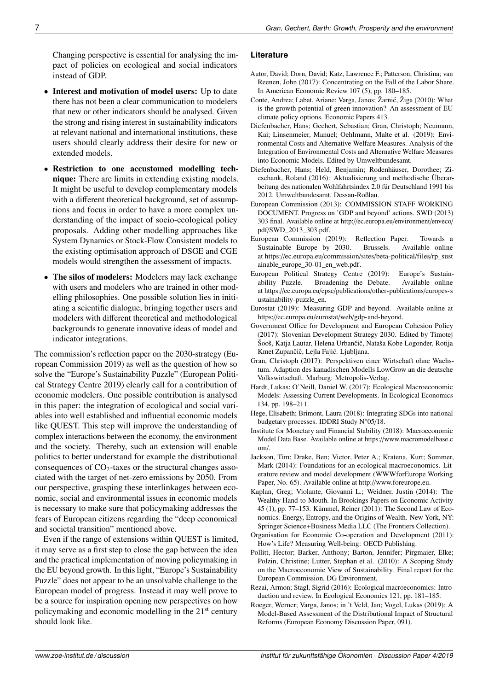Changing perspective is essential for analysing the impact of policies on ecological and social indicators instead of GDP.

- Interest and motivation of model users: Up to date there has not been a clear communication to modelers that new or other indicators should be analysed. Given the strong and rising interest in sustainability indicators at relevant national and international institutions, these users should clearly address their desire for new or extended models.
- Restriction to one accustomed modelling technique: There are limits in extending existing models. It might be useful to develop complementary models with a different theoretical background, set of assumptions and focus in order to have a more complex understanding of the impact of socio-ecological policy proposals. Adding other modelling approaches like System Dynamics or Stock-Flow Consistent models to the existing optimisation approach of DSGE and CGE models would strengthen the assessment of impacts.
- The silos of modelers: Modelers may lack exchange with users and modelers who are trained in other modelling philosophies. One possible solution lies in initiating a scientific dialogue, bringing together users and modelers with different theoretical and methodological backgrounds to generate innovative ideas of model and indicator integrations.

The commission's reflection paper on the 2030-strategy (European Commission 2019) as well as the question of how so solve the "Europe's Sustainability Puzzle" (European Political Strategy Centre 2019) clearly call for a contribution of economic modelers. One possible contribution is analysed in this paper: the integration of ecological and social variables into well established and influential economic models like QUEST. This step will improve the understanding of complex interactions between the economy, the environment and the society. Thereby, such an extension will enable politics to better understand for example the distributional consequences of  $CO<sub>2</sub>$ -taxes or the structural changes associated with the target of net-zero emissions by 2050. From our perspective, grasping these interlinkages between economic, social and environmental issues in economic models is necessary to make sure that policymaking addresses the fears of European citizens regarding the "deep economical and societal transition" mentioned above.

Even if the range of extensions within QUEST is limited, it may serve as a first step to close the gap between the idea and the practical implementation of moving policymaking in the EU beyond growth. In this light, "Europe's Sustainability Puzzle" does not appear to be an unsolvable challenge to the European model of progress. Instead it may well prove to be a source for inspiration opening new perspectives on how policymaking and economic modelling in the 21st century should look like.

#### **Literature**

- Autor, David; Dorn, David; Katz, Lawrence F.; Patterson, Christina; van Reenen, John (2017): Concentrating on the Fall of the Labor Share. In American Economic Review 107 (5), pp. 180–185.
- Conte, Andrea; Labat, Ariane; Varga, Janos; Žarnic, Žiga (2010): What ´ is the growth potential of green innovation? An assessment of EU climate policy options. Economic Papers 413.
- Diefenbacher, Hans; Gechert, Sebastian; Gran, Christoph; Neumann, Kai; Linsenmeier, Manuel; Oehlmann, Malte et al. (2019): Environmental Costs and Alternative Welfare Measures. Analysis of the Integration of Environmental Costs and Alternative Welfare Measures into Economic Models. Edited by Umweltbundesamt.
- Diefenbacher, Hans; Held, Benjamin; Rodenhäuser, Dorothee; Zieschank, Roland (2016): Aktualisierung und methodische Überarbeitung des nationalen Wohlfahrtsindex 2.0 für Deutschland 1991 bis 2012. Umweltbundesamt. Dessau-Roßlau.
- European Commission (2013): COMMISSION STAFF WORKING DOCUMENT. Progress on 'GDP and beyond' actions. SWD (2013) 303 final. Available online at http://[ec.europa.eu](http://ec.europa.eu/environment/enveco/pdf/SWD_2013_303.pdf)/environment/enveco/ pdf/[SWD\\_2013\\_303.pdf.](http://ec.europa.eu/environment/enveco/pdf/SWD_2013_303.pdf)
- European Commission (2019): Reflection Paper. Towards a Sustainable Europe by 2030. Brussels. Available online at https://ec.europa.eu/commission/sites/[beta-political](https://ec.europa.eu/commission/sites/beta-political/files/rp_sustainable_europe_30-01_en_web.pdf)/files/rp\_sust [ainable\\_europe\\_30-01\\_en\\_web.pdf.](https://ec.europa.eu/commission/sites/beta-political/files/rp_sustainable_europe_30-01_en_web.pdf)
- European Political Strategy Centre (2019): Europe's Sustainability Puzzle. Broadening the Debate. Available online at https://ec.europa.eu/epsc/publications/[other-publications](https://ec.europa.eu/epsc/publications/other-publications/europes-sustainability-puzzle_en)/europes-s [ustainability-puzzle\\_en.](https://ec.europa.eu/epsc/publications/other-publications/europes-sustainability-puzzle_en)
- Eurostat (2019): Measuring GDP and beyond. Available online at https://ec.europa.eu/eurostat/web/[gdp-and-beyond.](https://ec.europa.eu/eurostat/web/gdp-and-beyond)
- Government Office for Development and European Cohesion Policy (2017): Slovenian Development Strategy 2030. Edited by Timotej Šooš, Katja Lautar, Helena Urbančič, Nataša Kobe Logonder, Rotija Kmet Zupančič, Lejla Fajić. Ljubljana.
- Gran, Christoph (2017): Perspektiven einer Wirtschaft ohne Wachstum. Adaption des kanadischen Modells LowGrow an die deutsche Volkswirtschaft. Marburg: Metropolis-Verlag.
- Hardt, Lukas; O'Neill, Daniel W. (2017): Ecological Macroeconomic Models: Assessing Current Developments. In Ecological Economics 134, pp. 198–211.
- Hege, Elisabeth; Brimont, Laura (2018): Integrating SDGs into national budgetary processes. IDDRI Study N°05/18.
- Institute for Monetary and Financial Stability (2018): Macroeconomic Model Data Base. Available online at https://[www.macromodelbase.c](https://www.macromodelbase.com/) [om](https://www.macromodelbase.com/)/.
- Jackson, Tim; Drake, Ben; Victor, Peter A.; Kratena, Kurt; Sommer, Mark (2014): Foundations for an ecological macroeconomics. Literature review and model development (WWWforEurope Working Paper, No. 65). Available online at http://[www.foreurope.eu.](http://www.foreurope.eu)
- Kaplan, Greg; Violante, Giovanni L.; Weidner, Justin (2014): The Wealthy Hand-to-Mouth. In Brookings Papers on Economic Activity 45 (1), pp. 77–153. Kümmel, Reiner (2011): The Second Law of Economics. Energy, Entropy, and the Origins of Wealth. New York, NY: Springer Science+Business Media LLC (The Frontiers Collection).
- Organisation for Economic Co-operation and Development (2011): How's Life? Measuring Well-being: OECD Publishing.
- Pollitt, Hector; Barker, Anthony; Barton, Jennifer; Pirgmaier, Elke; Polzin, Christine; Lutter, Stephan et al. (2010): A Scoping Study on the Macroeconomic View of Sustainability. Final report for the European Commission, DG Environment.
- Rezai, Armon; Stagl, Sigrid (2016): Ecological macroeconomics: Introduction and review. In Ecological Economics 121, pp. 181–185.
- Roeger, Werner; Varga, Janos; in 't Veld, Jan; Vogel, Lukas (2019): A Model-Based Assessment of the Distributional Impact of Structural Reforms (European Economy Discussion Paper, 091).